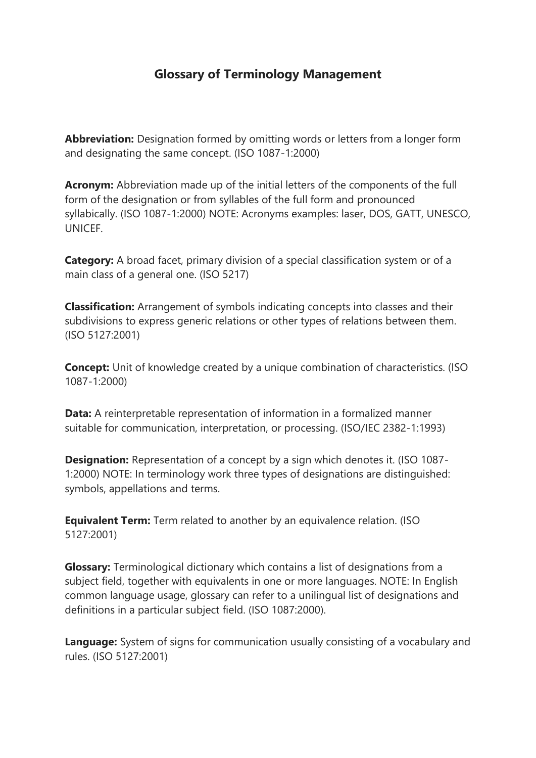## **Glossary of Terminology Management**

**Abbreviation:** Designation formed by omitting words or letters from a longer form and designating the same concept. (ISO 1087-1:2000)

**Acronym:** Abbreviation made up of the initial letters of the components of the full form of the designation or from syllables of the full form and pronounced syllabically. (ISO 1087-1:2000) NOTE: Acronyms examples: laser, DOS, GATT, UNESCO, **UNICEF.** 

**Category:** A broad facet, primary division of a special classification system or of a main class of a general one. (ISO 5217)

**Classification:** Arrangement of symbols indicating concepts into classes and their subdivisions to express generic relations or other types of relations between them. (ISO 5127:2001)

**Concept:** Unit of knowledge created by a unique combination of characteristics. (ISO 1087-1:2000)

**Data:** A reinterpretable representation of information in a formalized manner suitable for communication, interpretation, or processing. (ISO/IEC 2382-1:1993)

**Designation:** Representation of a concept by a sign which denotes it. (ISO 1087-1:2000) NOTE: In terminology work three types of designations are distinguished: symbols, appellations and terms.

**Equivalent Term:** Term related to another by an equivalence relation. (ISO 5127:2001)

**Glossary:** Terminological dictionary which contains a list of designations from a subject field, together with equivalents in one or more languages. NOTE: In English common language usage, glossary can refer to a unilingual list of designations and definitions in a particular subject field. (ISO 1087:2000).

**Language:** System of signs for communication usually consisting of a vocabulary and rules. (ISO 5127:2001)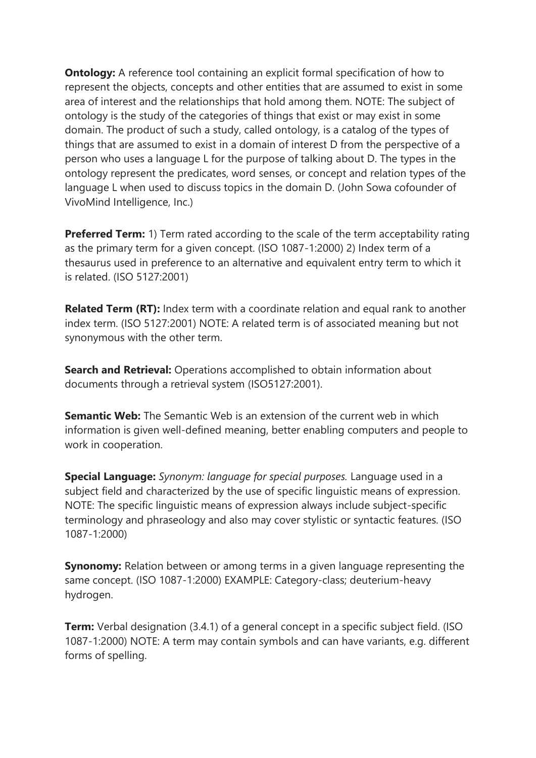**Ontology:** A reference tool containing an explicit formal specification of how to represent the objects, concepts and other entities that are assumed to exist in some area of interest and the relationships that hold among them. NOTE: The subject of ontology is the study of the categories of things that exist or may exist in some domain. The product of such a study, called ontology, is a catalog of the types of things that are assumed to exist in a domain of interest D from the perspective of a person who uses a language L for the purpose of talking about D. The types in the ontology represent the predicates, word senses, or concept and relation types of the language L when used to discuss topics in the domain D. (John Sowa cofounder of VivoMind Intelligence, Inc.)

**Preferred Term:** 1) Term rated according to the scale of the term acceptability rating as the primary term for a given concept. (ISO 1087-1:2000) 2) Index term of a thesaurus used in preference to an alternative and equivalent entry term to which it is related. (ISO 5127:2001)

**Related Term (RT):** Index term with a coordinate relation and equal rank to another index term. (ISO 5127:2001) NOTE: A related term is of associated meaning but not synonymous with the other term.

**Search and Retrieval:** Operations accomplished to obtain information about documents through a retrieval system (ISO5127:2001).

**Semantic Web:** The Semantic Web is an extension of the current web in which information is given well-defined meaning, better enabling computers and people to work in cooperation.

**Special Language:** *Synonym: language for special purposes.* Language used in a subject field and characterized by the use of specific linguistic means of expression. NOTE: The specific linguistic means of expression always include subject-specific terminology and phraseology and also may cover stylistic or syntactic features. (ISO 1087-1:2000)

**Synonomy:** Relation between or among terms in a given language representing the same concept. (ISO 1087-1:2000) EXAMPLE: Category-class; deuterium-heavy hydrogen.

**Term:** Verbal designation (3.4.1) of a general concept in a specific subject field. (ISO 1087-1:2000) NOTE: A term may contain symbols and can have variants, e.g. different forms of spelling.